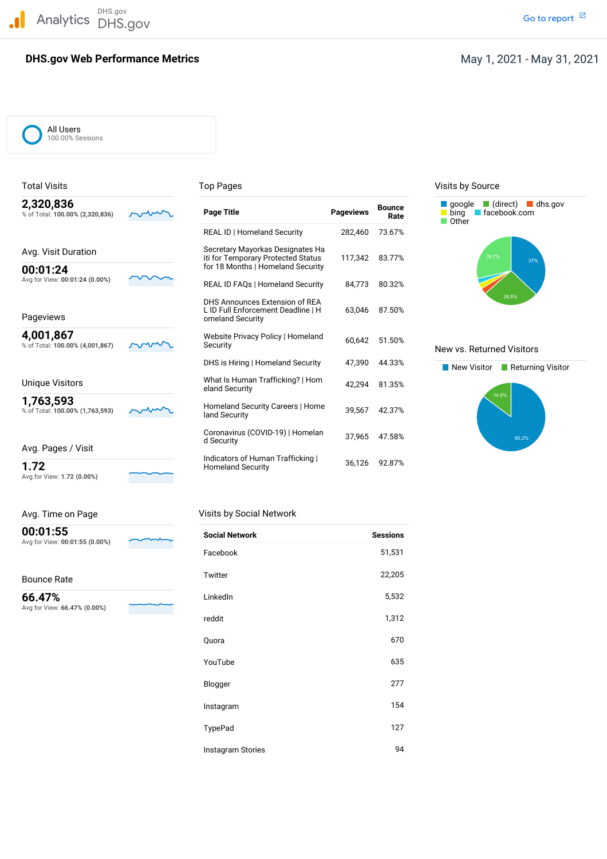DHS.gov Analytics DHS.gov and the contract of the contract of the contract of the contract of the contract of the contract of the contract of the contract of the contract of the contract of the contract of the contract of the cont

### **DHS.gov Web Performance Metrics**

Go to report<sup>[2]</sup>

# May 1, 2021 - May 31, 2021

All Users 100.00% Sessions

| 2,320,836<br>% of Total: 100.00% (2,320,836) | <b>Page Title</b>                                                                        | <b>Pageviews</b> | <b>Bounce</b><br>Rate | $\blacksquare$ (direct)<br>dhs.gov<br>$\blacksquare$ google<br>facebook.com<br>bing<br>Other |
|----------------------------------------------|------------------------------------------------------------------------------------------|------------------|-----------------------|----------------------------------------------------------------------------------------------|
|                                              | <b>REAL ID   Homeland Security</b>                                                       | 282,460          | 73.67%                |                                                                                              |
| Avg. Visit Duration                          | Secretary Mayorkas Designates Ha<br>iti for Temporary Protected Status                   | 117,342          | 83.77%                | 28.7%<br>37%                                                                                 |
| 00:01:24                                     | for 18 Months   Homeland Security                                                        |                  |                       |                                                                                              |
| Avg for View: 00:01:24 (0.00%)               | <b>REAL ID FAQs   Homeland Security</b>                                                  | 84,773           | 80.32%                |                                                                                              |
| Pageviews                                    | DHS Announces Extension of REA<br>L ID Full Enforcement Deadline   H<br>omeland Security | 63.046           | 87.50%                | 26.5%                                                                                        |
| 4,001,867<br>% of Total: 100.00% (4,001,867) | Website Privacy Policy   Homeland<br>Security                                            | 60.642           | 51.50%                | New vs. Returned Visitors                                                                    |
|                                              | DHS is Hiring   Homeland Security                                                        | 47,390           | 44.33%                | New Visitor<br>Returning Visite                                                              |
| <b>Unique Visitors</b>                       | What Is Human Trafficking?   Hom<br>eland Security                                       | 42.294           | 81.35%                |                                                                                              |
| 1,763,593<br>% of Total: 100.00% (1,763,593) | Homeland Security Careers   Home<br>land Security                                        | 39.567           | 42.37%                | 14.8%                                                                                        |
| Avg. Pages / Visit                           | Coronavirus (COVID-19)   Homelan<br>d Security                                           | 37.965           | 47.58%                | 85.2%                                                                                        |
|                                              | Indicators of Human Trafficking                                                          | 36,126           | 92.87%                |                                                                                              |
| 1.72                                         | <b>Homeland Security</b>                                                                 |                  |                       |                                                                                              |

## Total Visits **Top Pages** Top Pages Top Pages Visits by Source





Avg for View: **1.72 (0.00%)**

| Avg. Time on Page              |  |
|--------------------------------|--|
| 00:01:55                       |  |
| Avg for View: 00:01:55 (0.00%) |  |

Bounce Rate

 Avg for View: **66.47% (0.00%) 66.47%**



| Avg. Time on Page | Visits by Social Network |
|-------------------|--------------------------|
|-------------------|--------------------------|

| <b>Social Network</b> | <b>Sessions</b> |
|-----------------------|-----------------|
| Facebook              | 51,531          |
| Twitter               | 22,205          |
| LinkedIn              | 5,532           |
| reddit                | 1,312           |
| Quora                 | 670             |
| YouTube               | 635             |
| Blogger               | 277             |
| Instagram             | 154             |
| TypePad               | 127             |
| Instagram Stories     | 94              |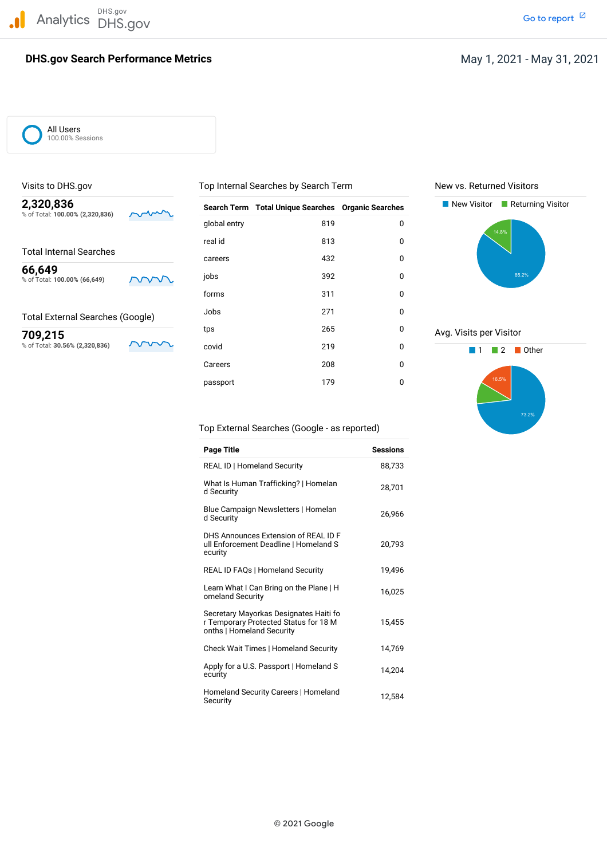# **DHS.gov Search Performance Metrics**

# May 1, 2021 - May 31, 2021

All Users 100.00% Sessions

#### Total External Searches (Google)

| 2,320,836<br>% of Total: 100.00% (2,320,836) | $\sim$             | <b>Search Term</b> | <b>Total Unique Searches Organic Searches</b> |             | New Visitor<br>Returning Visitor |
|----------------------------------------------|--------------------|--------------------|-----------------------------------------------|-------------|----------------------------------|
|                                              |                    | global entry       | 819                                           | 0           | 14.8%                            |
|                                              |                    | real id            | 813                                           | 0           |                                  |
| <b>Total Internal Searches</b>               |                    | careers            | 432                                           | 0           |                                  |
| 66,649<br>% of Total: 100.00% (66,649)       | <b>NVV</b>         | jobs               | 392                                           | 0           | 85.2%                            |
|                                              |                    | forms              | 311                                           | $\mathbf 0$ |                                  |
| <b>Total External Searches (Google)</b>      |                    | Jobs               | 271                                           | 0           |                                  |
| 709,215                                      |                    | tps                | 265                                           | 0           | Avg. Visits per Visitor          |
| % of Total: 30.56% (2,320,836)               | $\mathbf{v}$<br>ΛV | covid              | 219                                           | 0           | Other<br>2                       |
|                                              |                    | Careers            | 208                                           | 0           |                                  |
|                                              |                    | passport           | 179                                           | $\mathbf 0$ | 16.5%                            |

### Visits to DHS.gov **The Community Community Community** Top Internal Searches by Search Term New vs. Returned Visitors





Top External Searches (Google - as reported)

| <b>Page Title</b>                                                                                            | <b>Sessions</b> |
|--------------------------------------------------------------------------------------------------------------|-----------------|
| <b>REAL ID   Homeland Security</b>                                                                           | 88,733          |
| What Is Human Trafficking?   Homelan<br>d Security                                                           | 28,701          |
| Blue Campaign Newsletters   Homelan<br>d Security                                                            | 26,966          |
| DHS Announces Extension of REAL ID F<br>ull Enforcement Deadline   Homeland S<br>ecurity                     | 20.793          |
| <b>REAL ID FAQs   Homeland Security</b>                                                                      | 19.496          |
| Learn What I Can Bring on the Plane   H<br>omeland Security                                                  | 16,025          |
| Secretary Mayorkas Designates Haiti fo<br>r Temporary Protected Status for 18 M<br>onths   Homeland Security | 15,455          |
| Check Wait Times   Homeland Security                                                                         | 14.769          |
| Apply for a U.S. Passport   Homeland S<br>ecurity                                                            | 14,204          |
| Homeland Security Careers   Homeland<br>Security                                                             | 12,584          |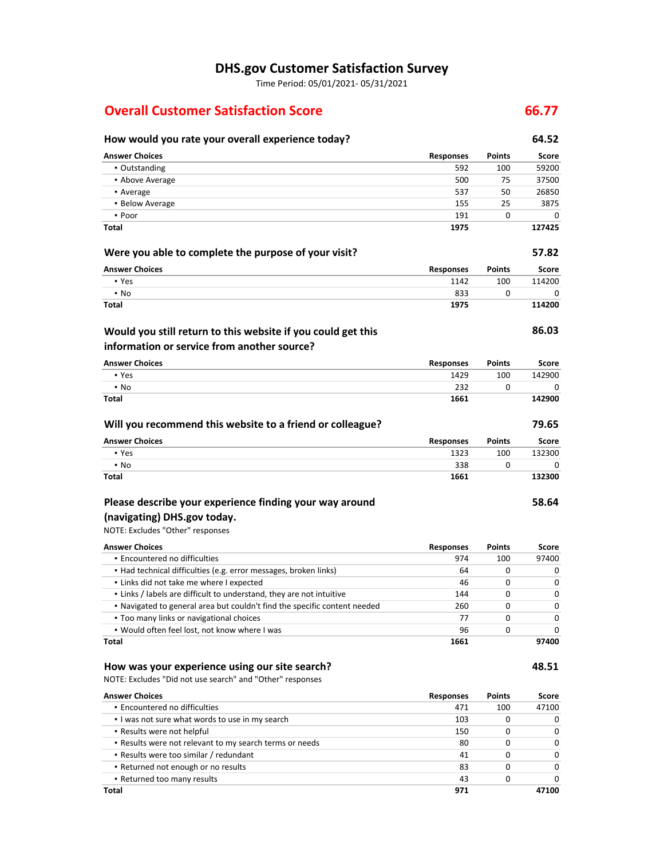# **DHS.gov Customer Satisfaction Survey**

Time Period: 05/01/2021‐ 05/31/2021

# **Overall Customer Satisfaction Score 66.77**

| How would you rate your overall experience today?                                                                          |                  |               | 64.52  |
|----------------------------------------------------------------------------------------------------------------------------|------------------|---------------|--------|
| <b>Answer Choices</b>                                                                                                      | Responses        | <b>Points</b> | Score  |
| • Outstanding                                                                                                              | 592              | 100           | 59200  |
| • Above Average                                                                                                            | 500              | 75            | 37500  |
| • Average                                                                                                                  | 537              | 50            | 26850  |
| • Below Average                                                                                                            | 155              | 25            | 3875   |
| • Poor                                                                                                                     | 191              | 0             |        |
| Total                                                                                                                      | 1975             |               | 127425 |
| Were you able to complete the purpose of your visit?                                                                       |                  |               | 57.82  |
| <b>Answer Choices</b>                                                                                                      | Responses        | Points        | Score  |
| • Yes                                                                                                                      | 1142             | 100           | 114200 |
| $\cdot$ No                                                                                                                 | 833              | 0             | 0      |
| Total                                                                                                                      | 1975             |               | 114200 |
| Would you still return to this website if you could get this<br>information or service from another source?                |                  |               | 86.03  |
| <b>Answer Choices</b>                                                                                                      | <b>Responses</b> | Points        | Score  |
| • Yes                                                                                                                      | 1429             | 100           | 142900 |
| $\cdot$ No                                                                                                                 | 232              | 0             | 0      |
| Total                                                                                                                      | 1661             |               | 142900 |
| Will you recommend this website to a friend or colleague?                                                                  |                  |               | 79.65  |
| <b>Answer Choices</b>                                                                                                      | Responses        | <b>Points</b> | Score  |
| • Yes                                                                                                                      | 1323             | 100           | 132300 |
| $\cdot$ No                                                                                                                 | 338              | 0             | 0      |
| Total                                                                                                                      | 1661             |               | 132300 |
| Please describe your experience finding your way around<br>(navigating) DHS.gov today.<br>NOTE: Excludes "Other" responses |                  |               | 58.64  |
| <b>Answer Choices</b>                                                                                                      | Responses        | Points        | Score  |
| • Encountered no difficulties                                                                                              | 974              | 100           | 97400  |
| • Had technical difficulties (e.g. error messages, broken links)                                                           | 64               | 0             | 0      |
| . Links did not take me where I expected                                                                                   | 46               | 0             | 0      |
| . Links / labels are difficult to understand, they are not intuitive                                                       | 144              | 0             | 0      |
| . Navigated to general area but couldn't find the specific content needed                                                  | 260              | 0             | 0      |
| . Too many links or navigational choices                                                                                   | 77               | 0             | 0      |
| . Would often feel lost, not know where I was                                                                              | 96               | 0             | 0      |
| <b>Total</b>                                                                                                               | 1661             |               | 97400  |
| How was your experience using our site search?<br>NOTE: Excludes "Did not use search" and "Other" responses                |                  |               | 48.51  |
| <b>Answer Choices</b>                                                                                                      | <b>Responses</b> | Points        | Score  |
| · Encountered no difficulties                                                                                              | 471              | 100           | 47100  |
| . I was not sure what words to use in my search                                                                            | 103              | 0             | 0      |
| • Results were not helpful                                                                                                 | 150              | 0             | 0      |
| . Results were not relevant to my search terms or needs                                                                    | 80               | 0             | 0      |
| - Results were too similar / redundant                                                                                     | 41               | 0             | 0      |
| • Returned not enough or no results                                                                                        | 83               | 0             | 0      |
| • Returned too many results                                                                                                | 43               | 0             | 0      |
| Total                                                                                                                      | 971              |               | 47100  |